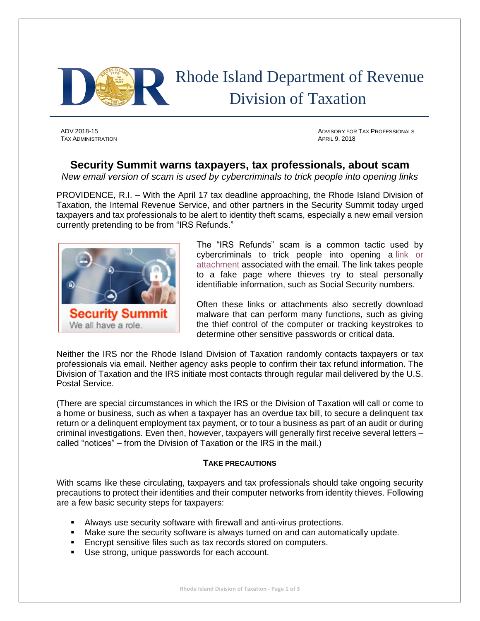

**TAX ADMINISTRATION** APRIL 9, 2018

ADV 2018-15 ADVISORY FOR TAX PROFESSIONALS

## **Security Summit warns taxpayers, tax professionals, about scam**

*New email version of scam is used by cybercriminals to trick people into opening links* 

PROVIDENCE, R.I. – With the April 17 tax deadline approaching, the Rhode Island Division of Taxation, the Internal Revenue Service, and other partners in the Security Summit today urged taxpayers and tax professionals to be alert to identity theft scams, especially a new email version currently pretending to be from "IRS Refunds."



The "IRS Refunds" scam is a common tactic used by cybercriminals to trick people into opening a link or [attachment](https://www.irs.gov/pub/image/email-scam-image_1.jpg) associated with the email. The link takes people to a fake page where thieves try to steal personally identifiable information, such as Social Security numbers.

Often these links or attachments also secretly download malware that can perform many functions, such as giving the thief control of the computer or tracking keystrokes to determine other sensitive passwords or critical data.

Neither the IRS nor the Rhode Island Division of Taxation randomly contacts taxpayers or tax professionals via email. Neither agency asks people to confirm their tax refund information. The Division of Taxation and the IRS initiate most contacts through regular mail delivered by the U.S. Postal Service.

(There are special circumstances in which the IRS or the Division of Taxation will call or come to a home or business, such as when a taxpayer has an overdue tax bill, to secure a delinquent tax return or a delinquent employment tax payment, or to tour a business as part of an audit or during criminal investigations. Even then, however, taxpayers will generally first receive several letters – called "notices" – from the Division of Taxation or the IRS in the mail.)

## **TAKE PRECAUTIONS**

With scams like these circulating, taxpayers and tax professionals should take ongoing security precautions to protect their identities and their computer networks from identity thieves. Following are a few basic security steps for taxpayers:

- Always use security software with firewall and anti-virus protections.
- Make sure the security software is always turned on and can automatically update.
- **Encrypt sensitive files such as tax records stored on computers.**
- Use strong, unique passwords for each account.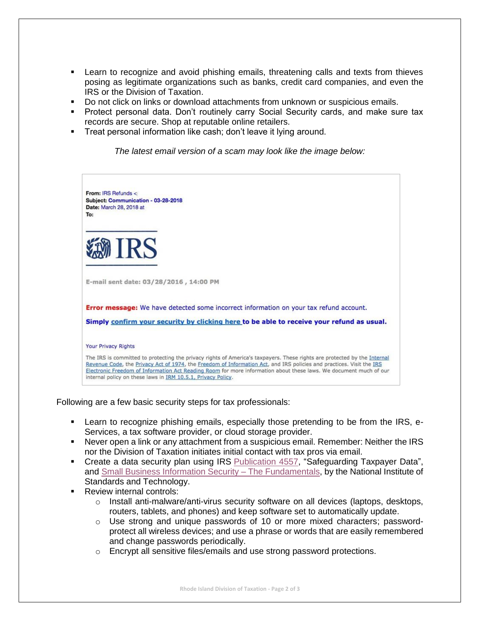- **EXT** Learn to recognize and avoid phishing emails, threatening calls and texts from thieves posing as legitimate organizations such as banks, credit card companies, and even the IRS or the Division of Taxation.
- Do not click on links or download attachments from unknown or suspicious emails.
- Protect personal data. Don't routinely carry Social Security cards, and make sure tax records are secure. Shop at reputable online retailers.
- **Treat personal information like cash; don't leave it lying around.**

*The latest email version of a scam may look like the image below:*



Following are a few basic security steps for tax professionals:

- Learn to recognize phishing emails, especially those pretending to be from the IRS, e-Services, a tax software provider, or cloud storage provider.
- Never open a link or any attachment from a suspicious email. Remember: Neither the IRS nor the Division of Taxation initiates initial contact with tax pros via email.
- Create a data security plan using IRS [Publication 4557,](https://www.irs.gov/pub/irs-pdf/p4557.pdf) "Safeguarding Taxpayer Data", and [Small Business Information Security –](https://nvlpubs.nist.gov/nistpubs/ir/2016/NIST.IR.7621r1.pdf) The Fundamentals, by the National Institute of Standards and Technology.
- **Review internal controls:** 
	- $\circ$  Install anti-malware/anti-virus security software on all devices (laptops, desktops, routers, tablets, and phones) and keep software set to automatically update.
	- $\circ$  Use strong and unique passwords of 10 or more mixed characters; passwordprotect all wireless devices; and use a phrase or words that are easily remembered and change passwords periodically.
	- o Encrypt all sensitive files/emails and use strong password protections.